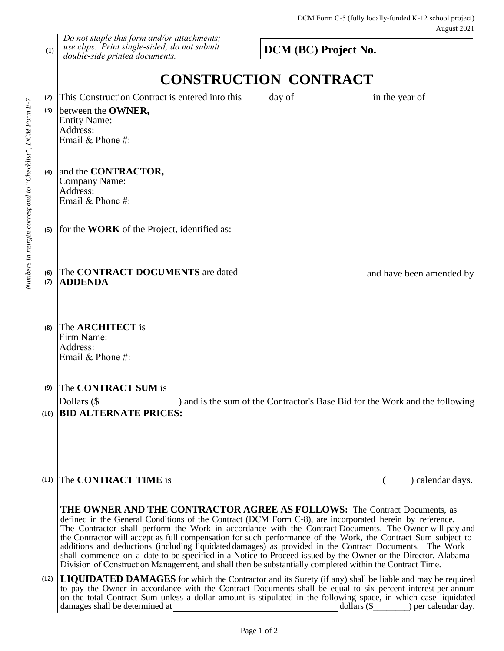**(1)** *Do not staple this form and/or attachments; use clips. Print single-sided; do not submit double-side printed documents.*

**DCM (BC) Project No.**

## **CONSTRUCTION CONTRACT**

| (2)<br>(3) | This Construction Contract is entered into this<br>between the OWNER,<br><b>Entity Name:</b><br>Address:<br>Email & Phone #: | day of | in the year of                                                               |
|------------|------------------------------------------------------------------------------------------------------------------------------|--------|------------------------------------------------------------------------------|
| (4)        | and the <b>CONTRACTOR</b> ,<br>Company Name:<br>Address:<br>Email & Phone #:                                                 |        |                                                                              |
|            | $(5)$ for the <b>WORK</b> of the Project, identified as:                                                                     |        |                                                                              |
| (6)<br>(7) | The CONTRACT DOCUMENTS are dated<br><b>ADDENDA</b>                                                                           |        | and have been amended by                                                     |
| (8)        | The <b>ARCHITECT</b> is<br>Firm Name:<br>Address:<br>Email & Phone #:                                                        |        |                                                                              |
| (9)        | The CONTRACT SUM is<br>Dollars (\$                                                                                           |        | ) and is the sum of the Contractor's Base Bid for the Work and the following |
|            | (10) <b>BID ALTERNATE PRICES:</b>                                                                                            |        |                                                                              |

## **(11)** The **CONTRACT TIME** is ( ) calendar days.

**THE OWNER AND THE CONTRACTOR AGREE AS FOLLOWS:** The Contract Documents, as defined in the General Conditions of the Contract (DCM Form C-8), are incorporated herein by reference. The Contractor shall perform the Work in accordance with the Contract Documents. The Owner will pay and the Contractor will accept as full compensation for such performance of the Work, the Contract Sum subject to additions and deductions (including liquidated damages) as provided in the Contract Documents. The Work shall commence on a date to be specified in a Notice to Proceed issued by the Owner or the Director, Alabama Division of Construction Management, and shall then be substantially completed within the Contract Time.

**(12) LIQUIDATED DAMAGES** for which the Contractor and its Surety (if any) shall be liable and may be required to pay the Owner in accordance with the Contract Documents shall be equal to six percent interest per annum on the total Contract Sum unless a dollar amount is stipulated in the following space, in which case liquidated damages shall be determined at dollars (\$ ) per calendar day. dollars  $(\$$  ) per calendar day.

Page 1 of 2